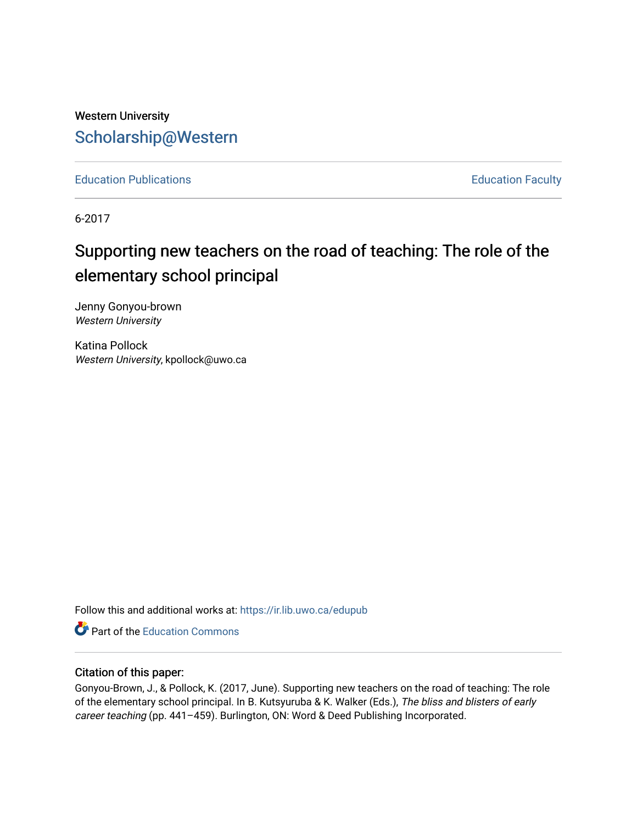## Western University [Scholarship@Western](https://ir.lib.uwo.ca/)

[Education Publications](https://ir.lib.uwo.ca/edupub) **Education** Faculty

6-2017

# Supporting new teachers on the road of teaching: The role of the elementary school principal

Jenny Gonyou-brown Western University

Katina Pollock Western University, kpollock@uwo.ca

Follow this and additional works at: [https://ir.lib.uwo.ca/edupub](https://ir.lib.uwo.ca/edupub?utm_source=ir.lib.uwo.ca%2Fedupub%2F240&utm_medium=PDF&utm_campaign=PDFCoverPages) 

**C** Part of the [Education Commons](http://network.bepress.com/hgg/discipline/784?utm_source=ir.lib.uwo.ca%2Fedupub%2F240&utm_medium=PDF&utm_campaign=PDFCoverPages)

### Citation of this paper:

Gonyou-Brown, J., & Pollock, K. (2017, June). Supporting new teachers on the road of teaching: The role of the elementary school principal. In B. Kutsyuruba & K. Walker (Eds.), The bliss and blisters of early career teaching (pp. 441-459). Burlington, ON: Word & Deed Publishing Incorporated.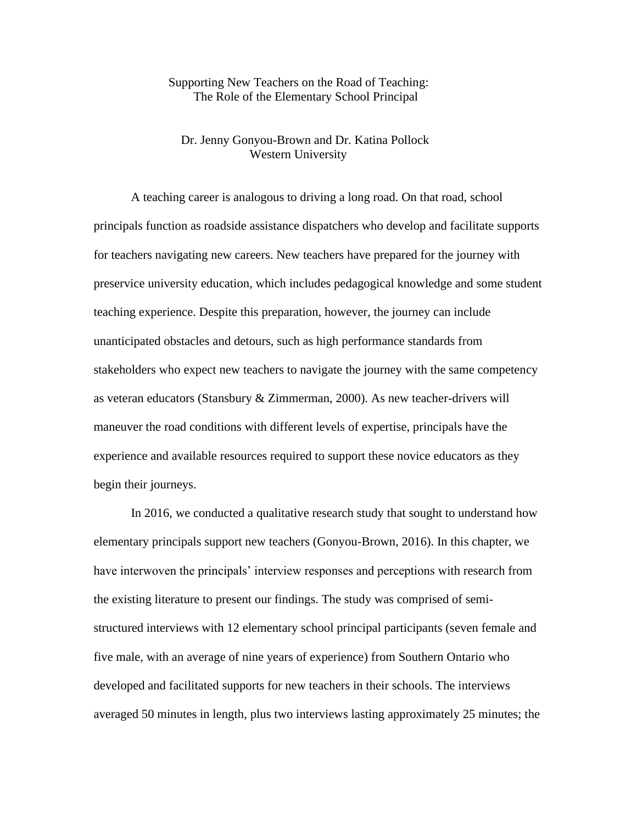## Supporting New Teachers on the Road of Teaching: The Role of the Elementary School Principal

## Dr. Jenny Gonyou-Brown and Dr. Katina Pollock Western University

A teaching career is analogous to driving a long road. On that road, school principals function as roadside assistance dispatchers who develop and facilitate supports for teachers navigating new careers. New teachers have prepared for the journey with preservice university education, which includes pedagogical knowledge and some student teaching experience. Despite this preparation, however, the journey can include unanticipated obstacles and detours, such as high performance standards from stakeholders who expect new teachers to navigate the journey with the same competency as veteran educators (Stansbury & Zimmerman, 2000). As new teacher-drivers will maneuver the road conditions with different levels of expertise, principals have the experience and available resources required to support these novice educators as they begin their journeys.

In 2016, we conducted a qualitative research study that sought to understand how elementary principals support new teachers (Gonyou-Brown, 2016). In this chapter, we have interwoven the principals' interview responses and perceptions with research from the existing literature to present our findings. The study was comprised of semistructured interviews with 12 elementary school principal participants (seven female and five male, with an average of nine years of experience) from Southern Ontario who developed and facilitated supports for new teachers in their schools. The interviews averaged 50 minutes in length, plus two interviews lasting approximately 25 minutes; the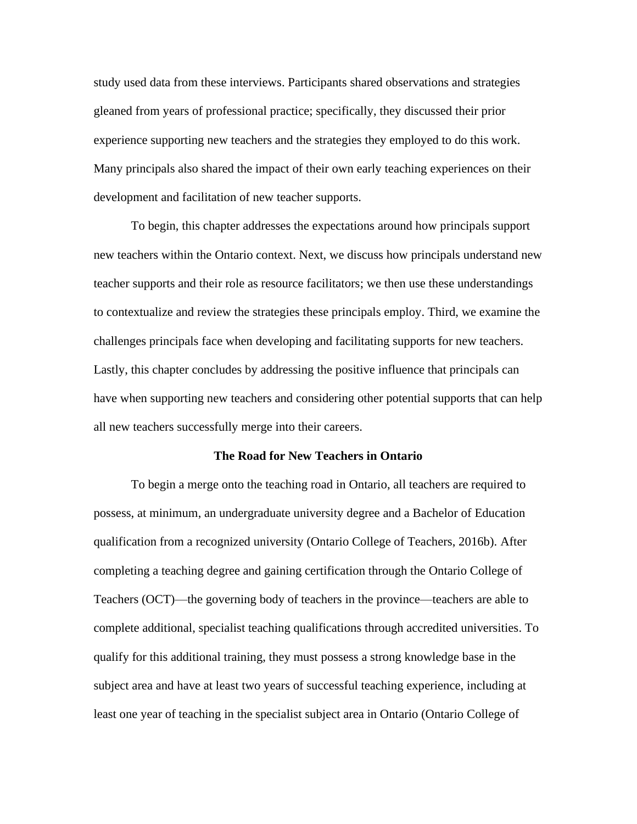study used data from these interviews. Participants shared observations and strategies gleaned from years of professional practice; specifically, they discussed their prior experience supporting new teachers and the strategies they employed to do this work. Many principals also shared the impact of their own early teaching experiences on their development and facilitation of new teacher supports.

To begin, this chapter addresses the expectations around how principals support new teachers within the Ontario context. Next, we discuss how principals understand new teacher supports and their role as resource facilitators; we then use these understandings to contextualize and review the strategies these principals employ. Third, we examine the challenges principals face when developing and facilitating supports for new teachers. Lastly, this chapter concludes by addressing the positive influence that principals can have when supporting new teachers and considering other potential supports that can help all new teachers successfully merge into their careers.

#### **The Road for New Teachers in Ontario**

To begin a merge onto the teaching road in Ontario, all teachers are required to possess, at minimum, an undergraduate university degree and a Bachelor of Education qualification from a recognized university (Ontario College of Teachers, 2016b). After completing a teaching degree and gaining certification through the Ontario College of Teachers (OCT)—the governing body of teachers in the province—teachers are able to complete additional, specialist teaching qualifications through accredited universities. To qualify for this additional training, they must possess a strong knowledge base in the subject area and have at least two years of successful teaching experience, including at least one year of teaching in the specialist subject area in Ontario (Ontario College of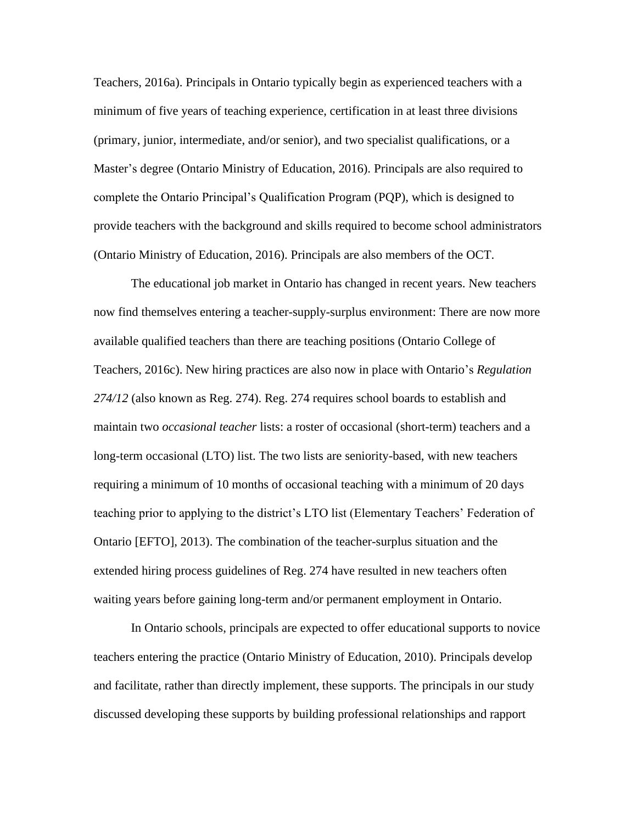Teachers, 2016a). Principals in Ontario typically begin as experienced teachers with a minimum of five years of teaching experience, certification in at least three divisions (primary, junior, intermediate, and/or senior), and two specialist qualifications, or a Master's degree (Ontario Ministry of Education, 2016). Principals are also required to complete the Ontario Principal's Qualification Program (PQP), which is designed to provide teachers with the background and skills required to become school administrators (Ontario Ministry of Education, 2016). Principals are also members of the OCT.

The educational job market in Ontario has changed in recent years. New teachers now find themselves entering a teacher-supply-surplus environment: There are now more available qualified teachers than there are teaching positions (Ontario College of Teachers, 2016c). New hiring practices are also now in place with Ontario's *Regulation 274/12* (also known as Reg. 274). Reg. 274 requires school boards to establish and maintain two *occasional teacher* lists: a roster of occasional (short-term) teachers and a long-term occasional (LTO) list. The two lists are seniority-based, with new teachers requiring a minimum of 10 months of occasional teaching with a minimum of 20 days teaching prior to applying to the district's LTO list (Elementary Teachers' Federation of Ontario [EFTO], 2013). The combination of the teacher-surplus situation and the extended hiring process guidelines of Reg. 274 have resulted in new teachers often waiting years before gaining long-term and/or permanent employment in Ontario.

In Ontario schools, principals are expected to offer educational supports to novice teachers entering the practice (Ontario Ministry of Education, 2010). Principals develop and facilitate, rather than directly implement, these supports. The principals in our study discussed developing these supports by building professional relationships and rapport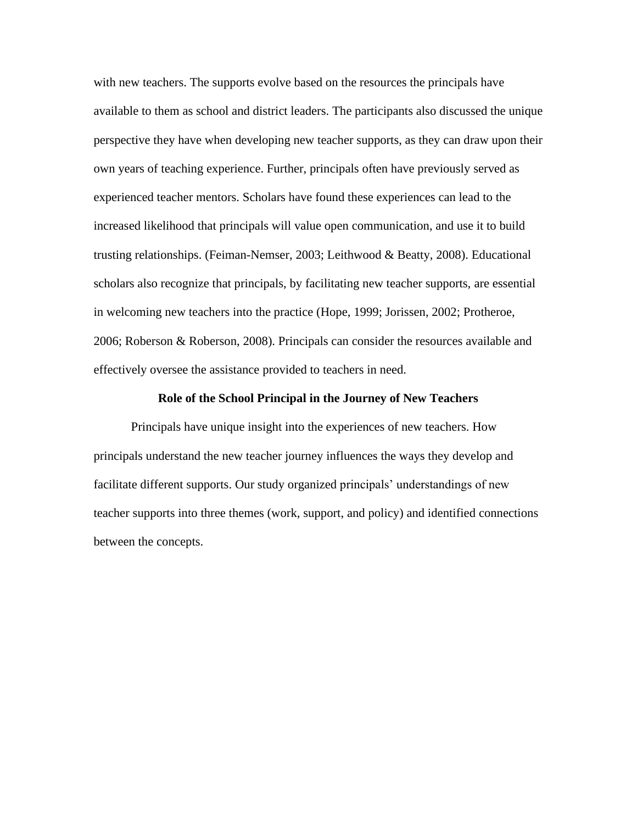with new teachers. The supports evolve based on the resources the principals have available to them as school and district leaders. The participants also discussed the unique perspective they have when developing new teacher supports, as they can draw upon their own years of teaching experience. Further, principals often have previously served as experienced teacher mentors. Scholars have found these experiences can lead to the increased likelihood that principals will value open communication, and use it to build trusting relationships. (Feiman-Nemser, 2003; Leithwood & Beatty, 2008). Educational scholars also recognize that principals, by facilitating new teacher supports, are essential in welcoming new teachers into the practice (Hope, 1999; Jorissen, 2002; Protheroe, 2006; Roberson & Roberson, 2008). Principals can consider the resources available and effectively oversee the assistance provided to teachers in need.

#### **Role of the School Principal in the Journey of New Teachers**

Principals have unique insight into the experiences of new teachers. How principals understand the new teacher journey influences the ways they develop and facilitate different supports. Our study organized principals' understandings of new teacher supports into three themes (work, support, and policy) and identified connections between the concepts.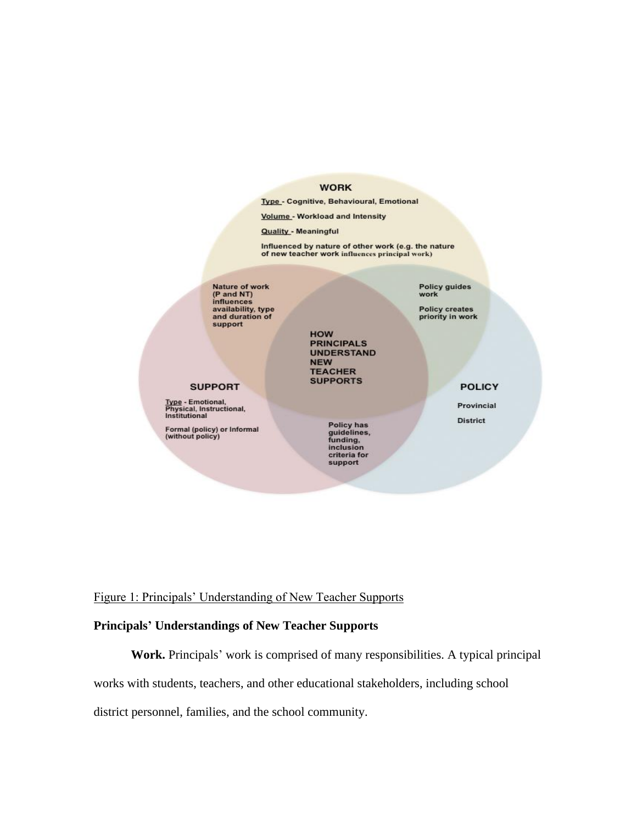#### **WORK**

Type - Cognitive, Behavioural, Emotional

Volume - Workload and Intensity

**Quality - Meaningful** 

Influenced by nature of other work (e.g. the nature<br>of new teacher work influences principal work)

Nature of work<br>(P and NT)<br>influences<br>availability, type<br>and duration of support

Policy guides<br>work

Policy creates<br>priority in work

**HOW PRINCIPALS UNDERSTAND NEW TEACHER SUPPORTS** 

**POLICY** 

Provincial **District** 

#### **SUPPORT**

Type - Emotional,<br>Physical, Instructional,<br>Institutional

Formal (policy) or Informal<br>(without policy)

Policy has<br>guidelines,<br>funding, inclusion criteria for support

Figure 1: Principals' Understanding of New Teacher Supports

## **Principals' Understandings of New Teacher Supports**

**Work.** Principals' work is comprised of many responsibilities. A typical principal works with students, teachers, and other educational stakeholders, including school district personnel, families, and the school community.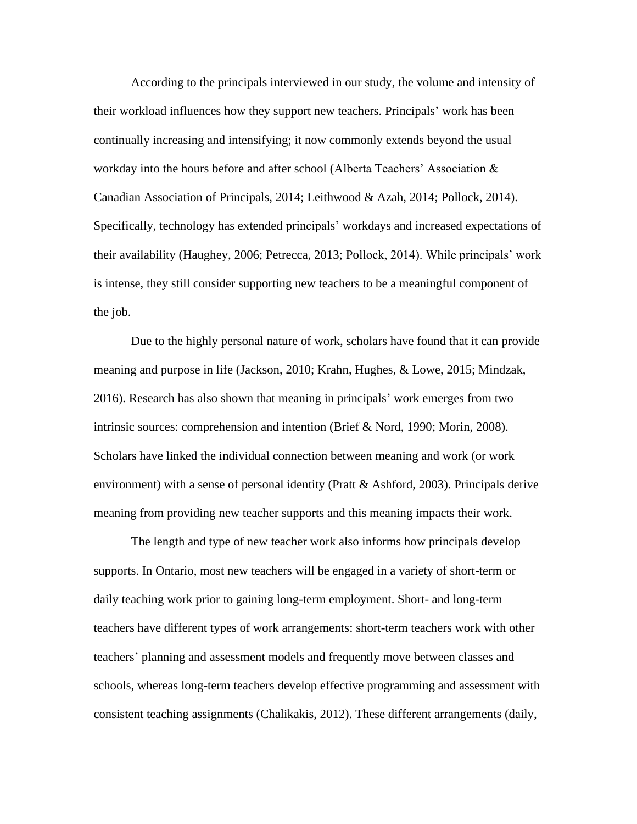According to the principals interviewed in our study, the volume and intensity of their workload influences how they support new teachers. Principals' work has been continually increasing and intensifying; it now commonly extends beyond the usual workday into the hours before and after school (Alberta Teachers' Association & Canadian Association of Principals, 2014; Leithwood & Azah, 2014; Pollock, 2014). Specifically, technology has extended principals' workdays and increased expectations of their availability (Haughey, 2006; Petrecca, 2013; Pollock, 2014). While principals' work is intense, they still consider supporting new teachers to be a meaningful component of the job.

Due to the highly personal nature of work, scholars have found that it can provide meaning and purpose in life (Jackson, 2010; Krahn, Hughes, & Lowe, 2015; Mindzak, 2016). Research has also shown that meaning in principals' work emerges from two intrinsic sources: comprehension and intention (Brief & Nord, 1990; Morin, 2008). Scholars have linked the individual connection between meaning and work (or work environment) with a sense of personal identity (Pratt & Ashford, 2003). Principals derive meaning from providing new teacher supports and this meaning impacts their work.

The length and type of new teacher work also informs how principals develop supports. In Ontario, most new teachers will be engaged in a variety of short-term or daily teaching work prior to gaining long-term employment. Short- and long-term teachers have different types of work arrangements: short-term teachers work with other teachers' planning and assessment models and frequently move between classes and schools, whereas long-term teachers develop effective programming and assessment with consistent teaching assignments (Chalikakis, 2012). These different arrangements (daily,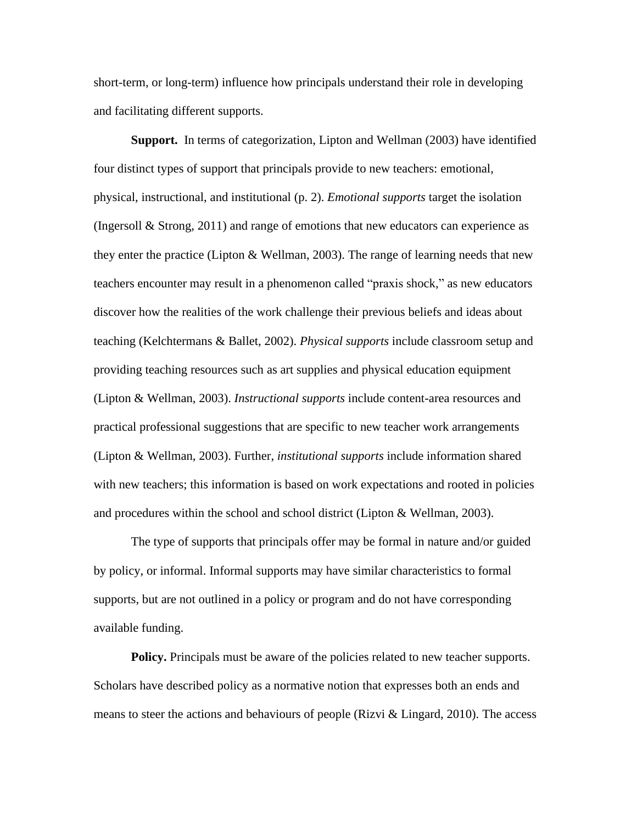short-term, or long-term) influence how principals understand their role in developing and facilitating different supports.

**Support.** In terms of categorization, Lipton and Wellman (2003) have identified four distinct types of support that principals provide to new teachers: emotional, physical, instructional, and institutional (p. 2). *Emotional supports* target the isolation (Ingersoll & Strong, 2011) and range of emotions that new educators can experience as they enter the practice (Lipton & Wellman, 2003). The range of learning needs that new teachers encounter may result in a phenomenon called "praxis shock," as new educators discover how the realities of the work challenge their previous beliefs and ideas about teaching (Kelchtermans & Ballet, 2002). *Physical supports* include classroom setup and providing teaching resources such as art supplies and physical education equipment (Lipton & Wellman, 2003). *Instructional supports* include content-area resources and practical professional suggestions that are specific to new teacher work arrangements (Lipton & Wellman, 2003). Further, *institutional supports* include information shared with new teachers; this information is based on work expectations and rooted in policies and procedures within the school and school district (Lipton & Wellman, 2003).

The type of supports that principals offer may be formal in nature and/or guided by policy, or informal. Informal supports may have similar characteristics to formal supports, but are not outlined in a policy or program and do not have corresponding available funding.

**Policy.** Principals must be aware of the policies related to new teacher supports. Scholars have described policy as a normative notion that expresses both an ends and means to steer the actions and behaviours of people (Rizvi & Lingard, 2010). The access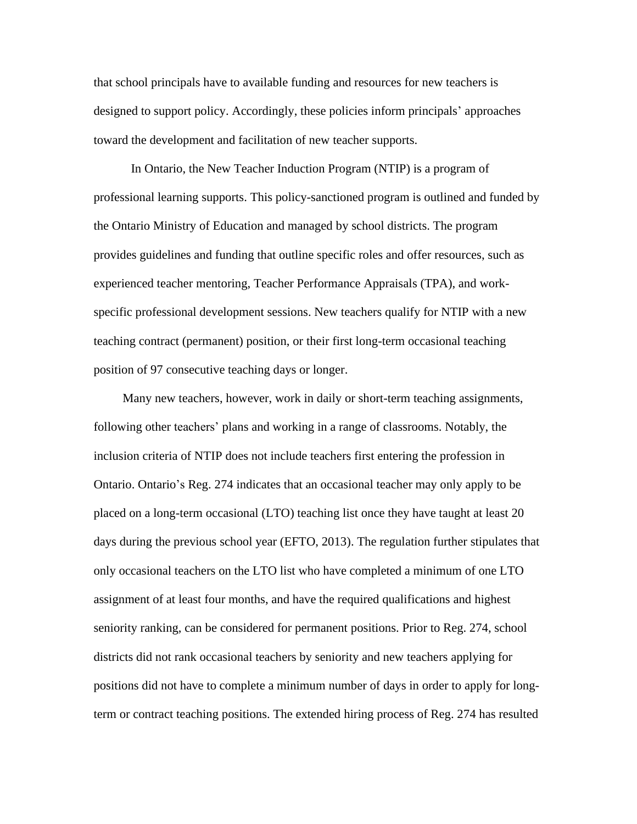that school principals have to available funding and resources for new teachers is designed to support policy. Accordingly, these policies inform principals' approaches toward the development and facilitation of new teacher supports.

In Ontario, the New Teacher Induction Program (NTIP) is a program of professional learning supports. This policy-sanctioned program is outlined and funded by the Ontario Ministry of Education and managed by school districts. The program provides guidelines and funding that outline specific roles and offer resources, such as experienced teacher mentoring, Teacher Performance Appraisals (TPA), and workspecific professional development sessions. New teachers qualify for NTIP with a new teaching contract (permanent) position, or their first long-term occasional teaching position of 97 consecutive teaching days or longer.

Many new teachers, however, work in daily or short-term teaching assignments, following other teachers' plans and working in a range of classrooms. Notably, the inclusion criteria of NTIP does not include teachers first entering the profession in Ontario. Ontario's Reg. 274 indicates that an occasional teacher may only apply to be placed on a long-term occasional (LTO) teaching list once they have taught at least 20 days during the previous school year (EFTO, 2013). The regulation further stipulates that only occasional teachers on the LTO list who have completed a minimum of one LTO assignment of at least four months, and have the required qualifications and highest seniority ranking, can be considered for permanent positions. Prior to Reg. 274, school districts did not rank occasional teachers by seniority and new teachers applying for positions did not have to complete a minimum number of days in order to apply for longterm or contract teaching positions. The extended hiring process of Reg. 274 has resulted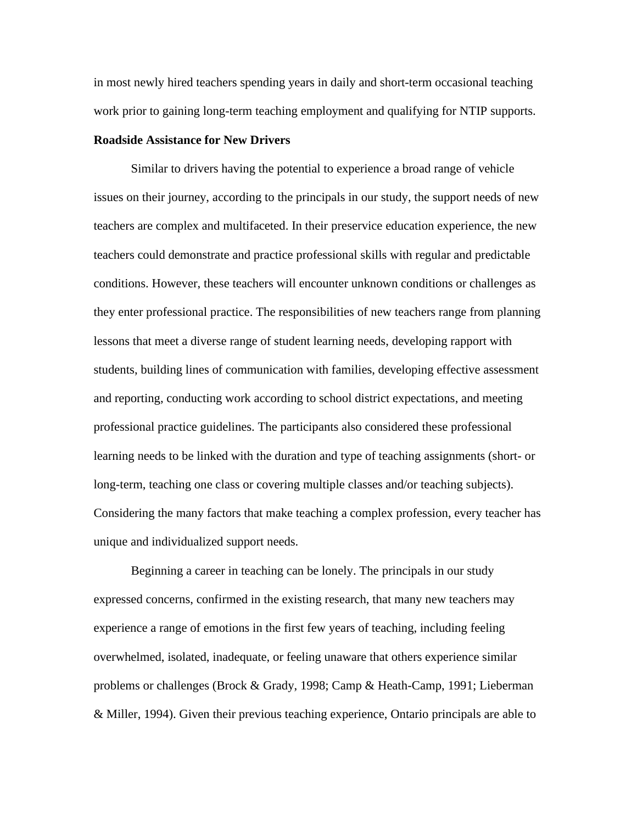in most newly hired teachers spending years in daily and short-term occasional teaching work prior to gaining long-term teaching employment and qualifying for NTIP supports.

#### **Roadside Assistance for New Drivers**

Similar to drivers having the potential to experience a broad range of vehicle issues on their journey, according to the principals in our study, the support needs of new teachers are complex and multifaceted. In their preservice education experience, the new teachers could demonstrate and practice professional skills with regular and predictable conditions. However, these teachers will encounter unknown conditions or challenges as they enter professional practice. The responsibilities of new teachers range from planning lessons that meet a diverse range of student learning needs, developing rapport with students, building lines of communication with families, developing effective assessment and reporting, conducting work according to school district expectations, and meeting professional practice guidelines. The participants also considered these professional learning needs to be linked with the duration and type of teaching assignments (short- or long-term, teaching one class or covering multiple classes and/or teaching subjects). Considering the many factors that make teaching a complex profession, every teacher has unique and individualized support needs.

Beginning a career in teaching can be lonely. The principals in our study expressed concerns, confirmed in the existing research, that many new teachers may experience a range of emotions in the first few years of teaching, including feeling overwhelmed, isolated, inadequate, or feeling unaware that others experience similar problems or challenges (Brock & Grady, 1998; Camp & Heath-Camp, 1991; Lieberman & Miller, 1994). Given their previous teaching experience, Ontario principals are able to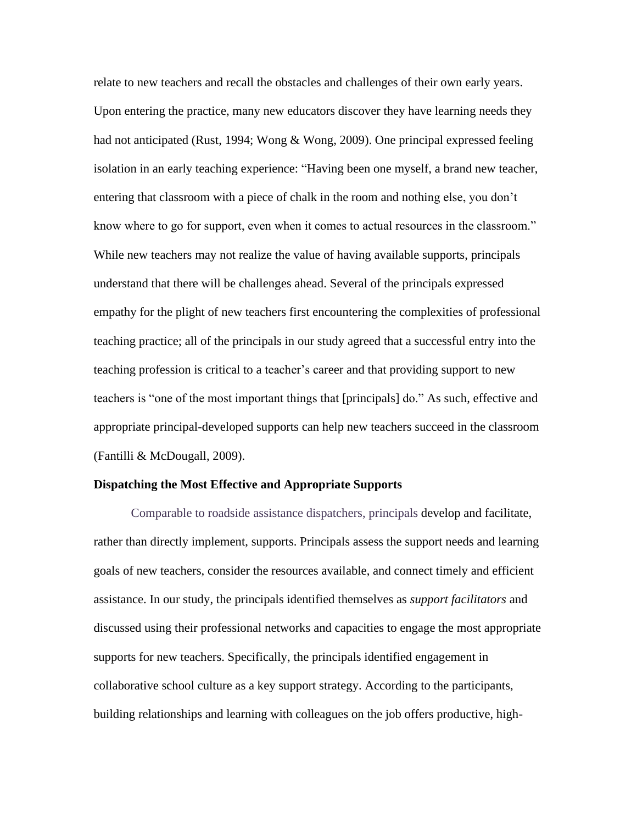relate to new teachers and recall the obstacles and challenges of their own early years. Upon entering the practice, many new educators discover they have learning needs they had not anticipated (Rust, 1994; Wong & Wong, 2009). One principal expressed feeling isolation in an early teaching experience: "Having been one myself, a brand new teacher, entering that classroom with a piece of chalk in the room and nothing else, you don't know where to go for support, even when it comes to actual resources in the classroom." While new teachers may not realize the value of having available supports, principals understand that there will be challenges ahead. Several of the principals expressed empathy for the plight of new teachers first encountering the complexities of professional teaching practice; all of the principals in our study agreed that a successful entry into the teaching profession is critical to a teacher's career and that providing support to new teachers is "one of the most important things that [principals] do." As such, effective and appropriate principal-developed supports can help new teachers succeed in the classroom (Fantilli & McDougall, 2009).

#### **Dispatching the Most Effective and Appropriate Supports**

Comparable to roadside assistance dispatchers, principals develop and facilitate, rather than directly implement, supports. Principals assess the support needs and learning goals of new teachers, consider the resources available, and connect timely and efficient assistance. In our study, the principals identified themselves as *support facilitators* and discussed using their professional networks and capacities to engage the most appropriate supports for new teachers. Specifically, the principals identified engagement in collaborative school culture as a key support strategy. According to the participants, building relationships and learning with colleagues on the job offers productive, high-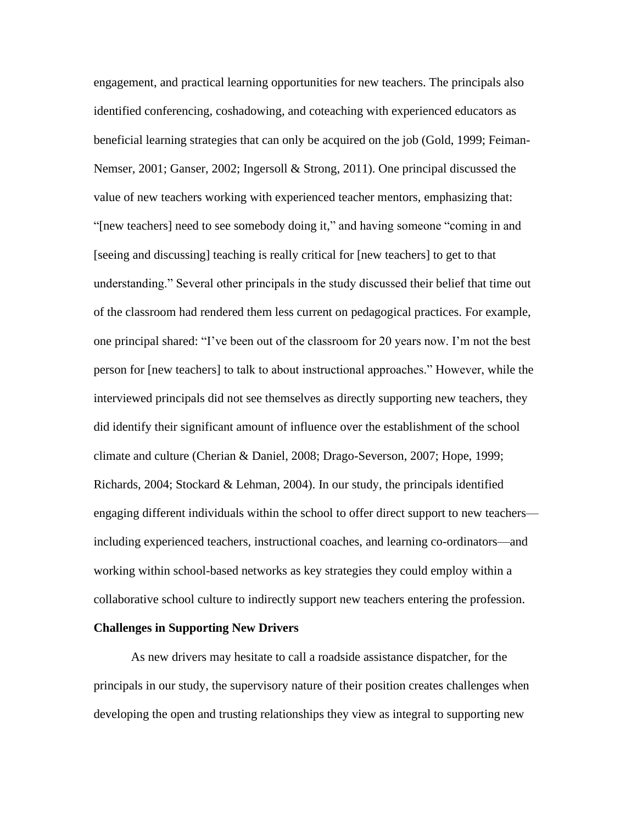engagement, and practical learning opportunities for new teachers. The principals also identified conferencing, coshadowing, and coteaching with experienced educators as beneficial learning strategies that can only be acquired on the job (Gold, 1999; Feiman-Nemser, 2001; Ganser, 2002; Ingersoll & Strong, 2011). One principal discussed the value of new teachers working with experienced teacher mentors, emphasizing that: "[new teachers] need to see somebody doing it," and having someone "coming in and [seeing and discussing] teaching is really critical for [new teachers] to get to that understanding." Several other principals in the study discussed their belief that time out of the classroom had rendered them less current on pedagogical practices. For example, one principal shared: "I've been out of the classroom for 20 years now. I'm not the best person for [new teachers] to talk to about instructional approaches." However, while the interviewed principals did not see themselves as directly supporting new teachers, they did identify their significant amount of influence over the establishment of the school climate and culture (Cherian & Daniel, 2008; Drago-Severson, 2007; Hope, 1999; Richards, 2004; Stockard & Lehman, 2004). In our study, the principals identified engaging different individuals within the school to offer direct support to new teachers including experienced teachers, instructional coaches, and learning co-ordinators—and working within school-based networks as key strategies they could employ within a collaborative school culture to indirectly support new teachers entering the profession.

#### **Challenges in Supporting New Drivers**

As new drivers may hesitate to call a roadside assistance dispatcher, for the principals in our study, the supervisory nature of their position creates challenges when developing the open and trusting relationships they view as integral to supporting new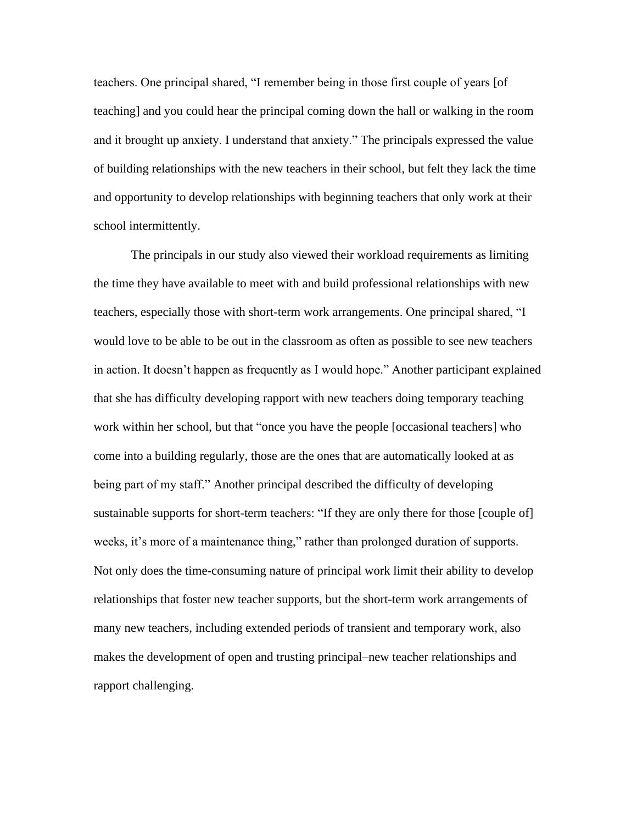teachers. One principal shared, "I remember being in those first couple of years [of teaching] and you could hear the principal coming down the hall or walking in the room and it brought up anxiety. I understand that anxiety." The principals expressed the value of building relationships with the new teachers in their school, but felt they lack the time and opportunity to develop relationships with beginning teachers that only work at their school intermittently.

The principals in our study also viewed their workload requirements as limiting the time they have available to meet with and build professional relationships with new teachers, especially those with short-term work arrangements. One principal shared, "I would love to be able to be out in the classroom as often as possible to see new teachers in action. It doesn't happen as frequently as I would hope." Another participant explained that she has difficulty developing rapport with new teachers doing temporary teaching work within her school, but that "once you have the people [occasional teachers] who come into a building regularly, those are the ones that are automatically looked at as being part of my staff." Another principal described the difficulty of developing sustainable supports for short-term teachers: "If they are only there for those [couple of] weeks, it's more of a maintenance thing," rather than prolonged duration of supports. Not only does the time-consuming nature of principal work limit their ability to develop relationships that foster new teacher supports, but the short-term work arrangements of many new teachers, including extended periods of transient and temporary work, also makes the development of open and trusting principal–new teacher relationships and rapport challenging.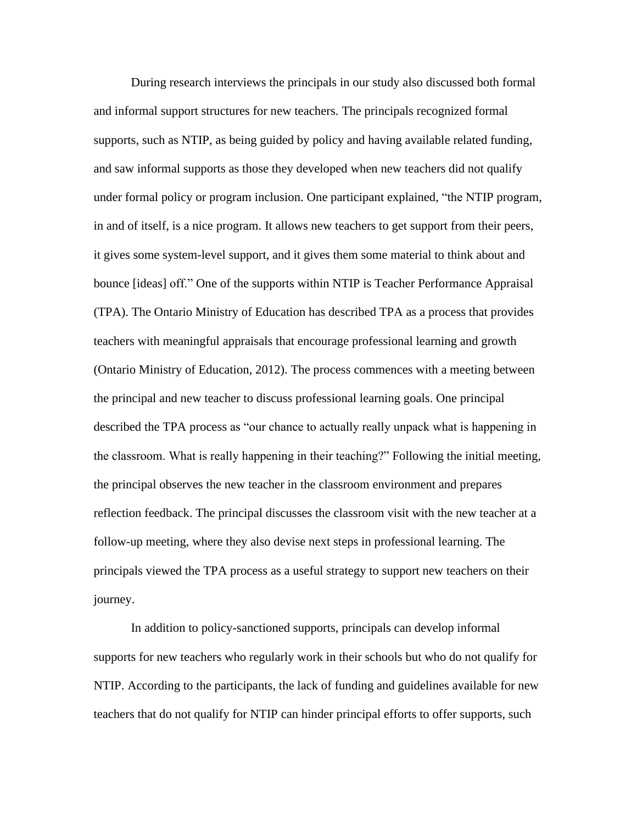During research interviews the principals in our study also discussed both formal and informal support structures for new teachers. The principals recognized formal supports, such as NTIP, as being guided by policy and having available related funding, and saw informal supports as those they developed when new teachers did not qualify under formal policy or program inclusion. One participant explained, "the NTIP program, in and of itself, is a nice program. It allows new teachers to get support from their peers, it gives some system-level support, and it gives them some material to think about and bounce [ideas] off." One of the supports within NTIP is Teacher Performance Appraisal (TPA). The Ontario Ministry of Education has described TPA as a process that provides teachers with meaningful appraisals that encourage professional learning and growth (Ontario Ministry of Education, 2012). The process commences with a meeting between the principal and new teacher to discuss professional learning goals. One principal described the TPA process as "our chance to actually really unpack what is happening in the classroom. What is really happening in their teaching?" Following the initial meeting, the principal observes the new teacher in the classroom environment and prepares reflection feedback. The principal discusses the classroom visit with the new teacher at a follow-up meeting, where they also devise next steps in professional learning. The principals viewed the TPA process as a useful strategy to support new teachers on their journey.

In addition to policy-sanctioned supports, principals can develop informal supports for new teachers who regularly work in their schools but who do not qualify for NTIP. According to the participants, the lack of funding and guidelines available for new teachers that do not qualify for NTIP can hinder principal efforts to offer supports, such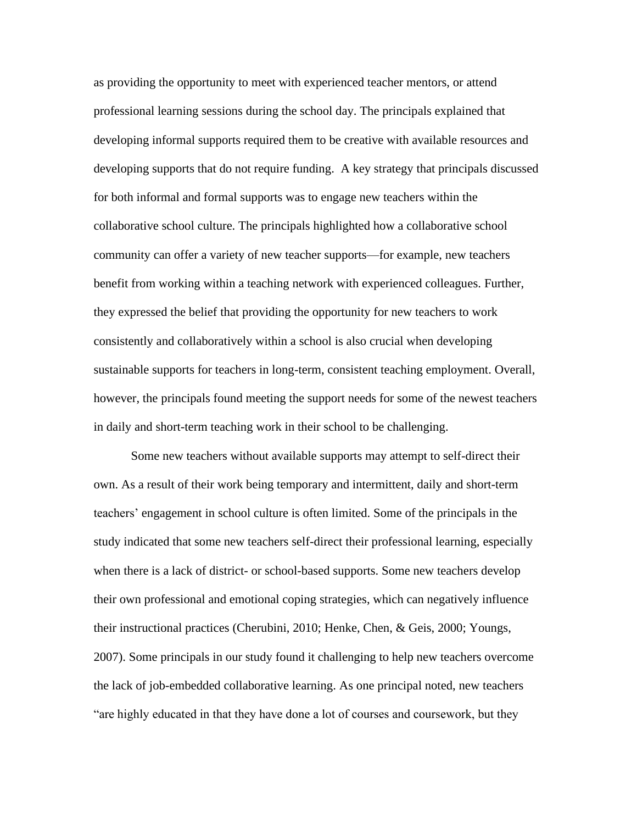as providing the opportunity to meet with experienced teacher mentors, or attend professional learning sessions during the school day. The principals explained that developing informal supports required them to be creative with available resources and developing supports that do not require funding. A key strategy that principals discussed for both informal and formal supports was to engage new teachers within the collaborative school culture. The principals highlighted how a collaborative school community can offer a variety of new teacher supports—for example, new teachers benefit from working within a teaching network with experienced colleagues. Further, they expressed the belief that providing the opportunity for new teachers to work consistently and collaboratively within a school is also crucial when developing sustainable supports for teachers in long-term, consistent teaching employment. Overall, however, the principals found meeting the support needs for some of the newest teachers in daily and short-term teaching work in their school to be challenging.

Some new teachers without available supports may attempt to self-direct their own. As a result of their work being temporary and intermittent, daily and short-term teachers' engagement in school culture is often limited. Some of the principals in the study indicated that some new teachers self-direct their professional learning, especially when there is a lack of district- or school-based supports. Some new teachers develop their own professional and emotional coping strategies, which can negatively influence their instructional practices (Cherubini, 2010; Henke, Chen, & Geis, 2000; Youngs, 2007). Some principals in our study found it challenging to help new teachers overcome the lack of job-embedded collaborative learning. As one principal noted, new teachers "are highly educated in that they have done a lot of courses and coursework, but they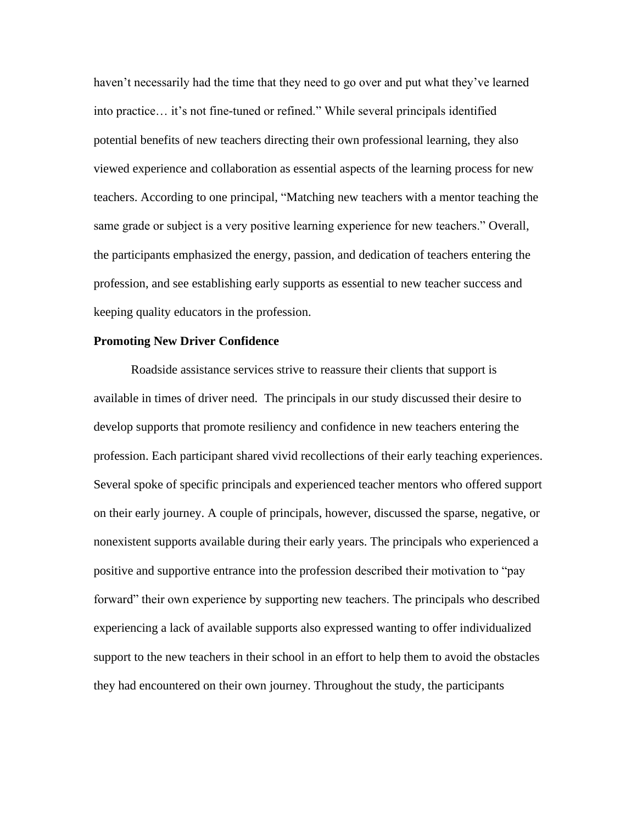haven't necessarily had the time that they need to go over and put what they've learned into practice… it's not fine-tuned or refined." While several principals identified potential benefits of new teachers directing their own professional learning, they also viewed experience and collaboration as essential aspects of the learning process for new teachers. According to one principal, "Matching new teachers with a mentor teaching the same grade or subject is a very positive learning experience for new teachers." Overall, the participants emphasized the energy, passion, and dedication of teachers entering the profession, and see establishing early supports as essential to new teacher success and keeping quality educators in the profession.

#### **Promoting New Driver Confidence**

Roadside assistance services strive to reassure their clients that support is available in times of driver need. The principals in our study discussed their desire to develop supports that promote resiliency and confidence in new teachers entering the profession. Each participant shared vivid recollections of their early teaching experiences. Several spoke of specific principals and experienced teacher mentors who offered support on their early journey. A couple of principals, however, discussed the sparse, negative, or nonexistent supports available during their early years. The principals who experienced a positive and supportive entrance into the profession described their motivation to "pay forward" their own experience by supporting new teachers. The principals who described experiencing a lack of available supports also expressed wanting to offer individualized support to the new teachers in their school in an effort to help them to avoid the obstacles they had encountered on their own journey. Throughout the study, the participants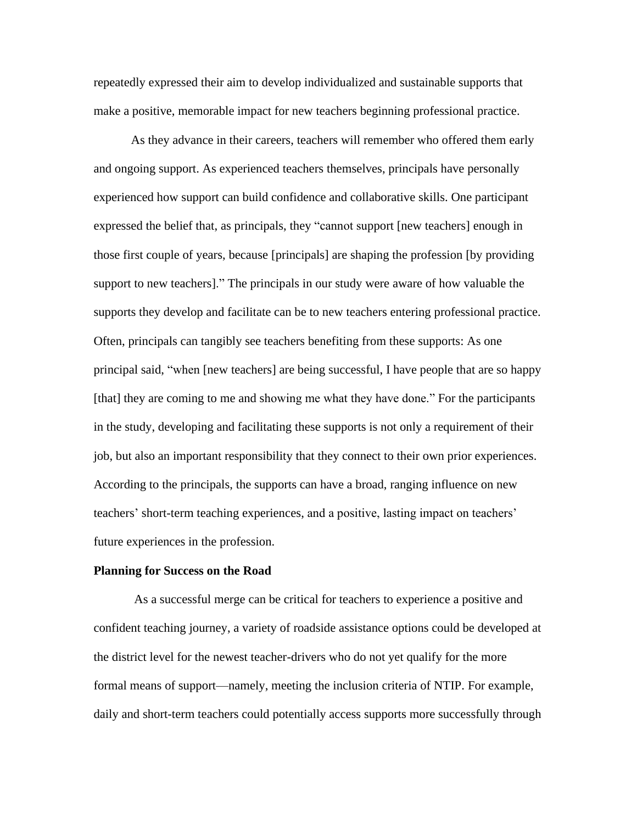repeatedly expressed their aim to develop individualized and sustainable supports that make a positive, memorable impact for new teachers beginning professional practice.

As they advance in their careers, teachers will remember who offered them early and ongoing support. As experienced teachers themselves, principals have personally experienced how support can build confidence and collaborative skills. One participant expressed the belief that, as principals, they "cannot support [new teachers] enough in those first couple of years, because [principals] are shaping the profession [by providing support to new teachers]." The principals in our study were aware of how valuable the supports they develop and facilitate can be to new teachers entering professional practice. Often, principals can tangibly see teachers benefiting from these supports: As one principal said, "when [new teachers] are being successful, I have people that are so happy [that] they are coming to me and showing me what they have done." For the participants in the study, developing and facilitating these supports is not only a requirement of their job, but also an important responsibility that they connect to their own prior experiences. According to the principals, the supports can have a broad, ranging influence on new teachers' short-term teaching experiences, and a positive, lasting impact on teachers' future experiences in the profession.

#### **Planning for Success on the Road**

As a successful merge can be critical for teachers to experience a positive and confident teaching journey, a variety of roadside assistance options could be developed at the district level for the newest teacher-drivers who do not yet qualify for the more formal means of support—namely, meeting the inclusion criteria of NTIP. For example, daily and short-term teachers could potentially access supports more successfully through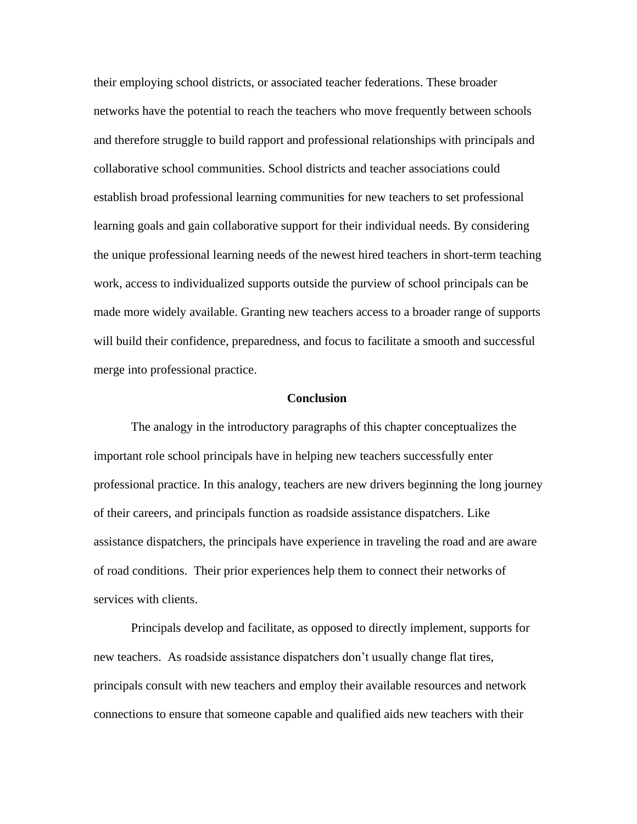their employing school districts, or associated teacher federations. These broader networks have the potential to reach the teachers who move frequently between schools and therefore struggle to build rapport and professional relationships with principals and collaborative school communities. School districts and teacher associations could establish broad professional learning communities for new teachers to set professional learning goals and gain collaborative support for their individual needs. By considering the unique professional learning needs of the newest hired teachers in short-term teaching work, access to individualized supports outside the purview of school principals can be made more widely available. Granting new teachers access to a broader range of supports will build their confidence, preparedness, and focus to facilitate a smooth and successful merge into professional practice.

#### **Conclusion**

The analogy in the introductory paragraphs of this chapter conceptualizes the important role school principals have in helping new teachers successfully enter professional practice. In this analogy, teachers are new drivers beginning the long journey of their careers, and principals function as roadside assistance dispatchers. Like assistance dispatchers, the principals have experience in traveling the road and are aware of road conditions. Their prior experiences help them to connect their networks of services with clients.

Principals develop and facilitate, as opposed to directly implement, supports for new teachers. As roadside assistance dispatchers don't usually change flat tires, principals consult with new teachers and employ their available resources and network connections to ensure that someone capable and qualified aids new teachers with their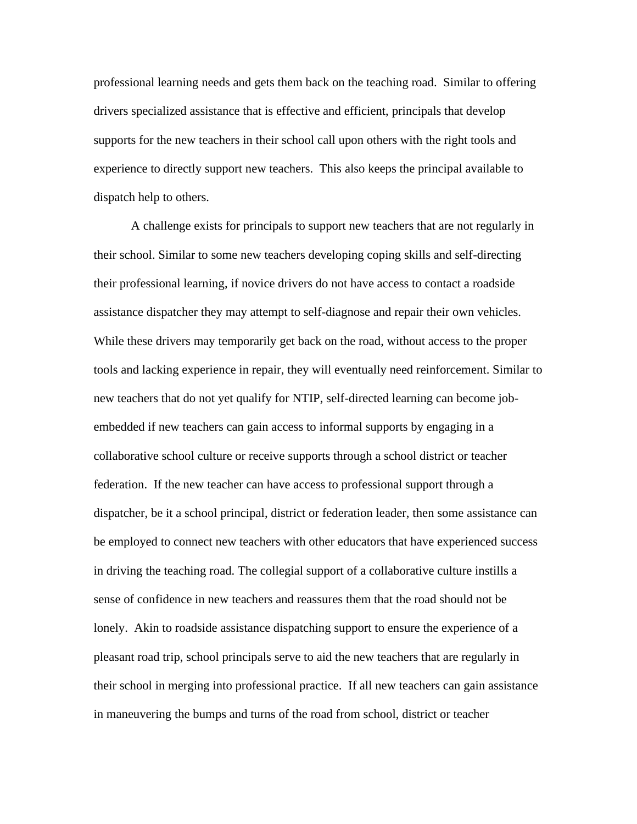professional learning needs and gets them back on the teaching road. Similar to offering drivers specialized assistance that is effective and efficient, principals that develop supports for the new teachers in their school call upon others with the right tools and experience to directly support new teachers. This also keeps the principal available to dispatch help to others.

A challenge exists for principals to support new teachers that are not regularly in their school. Similar to some new teachers developing coping skills and self-directing their professional learning, if novice drivers do not have access to contact a roadside assistance dispatcher they may attempt to self-diagnose and repair their own vehicles. While these drivers may temporarily get back on the road, without access to the proper tools and lacking experience in repair, they will eventually need reinforcement. Similar to new teachers that do not yet qualify for NTIP, self-directed learning can become jobembedded if new teachers can gain access to informal supports by engaging in a collaborative school culture or receive supports through a school district or teacher federation. If the new teacher can have access to professional support through a dispatcher, be it a school principal, district or federation leader, then some assistance can be employed to connect new teachers with other educators that have experienced success in driving the teaching road. The collegial support of a collaborative culture instills a sense of confidence in new teachers and reassures them that the road should not be lonely. Akin to roadside assistance dispatching support to ensure the experience of a pleasant road trip, school principals serve to aid the new teachers that are regularly in their school in merging into professional practice. If all new teachers can gain assistance in maneuvering the bumps and turns of the road from school, district or teacher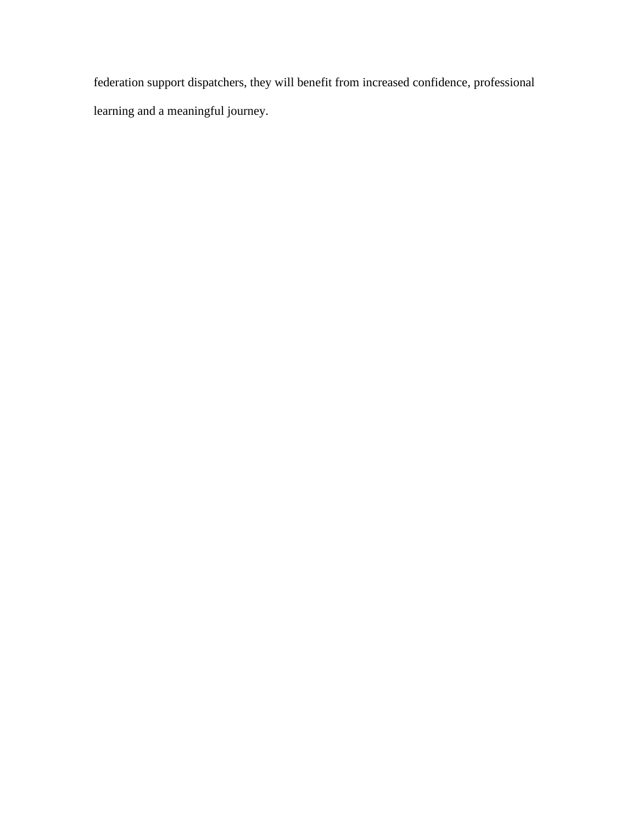federation support dispatchers, they will benefit from increased confidence, professional learning and a meaningful journey.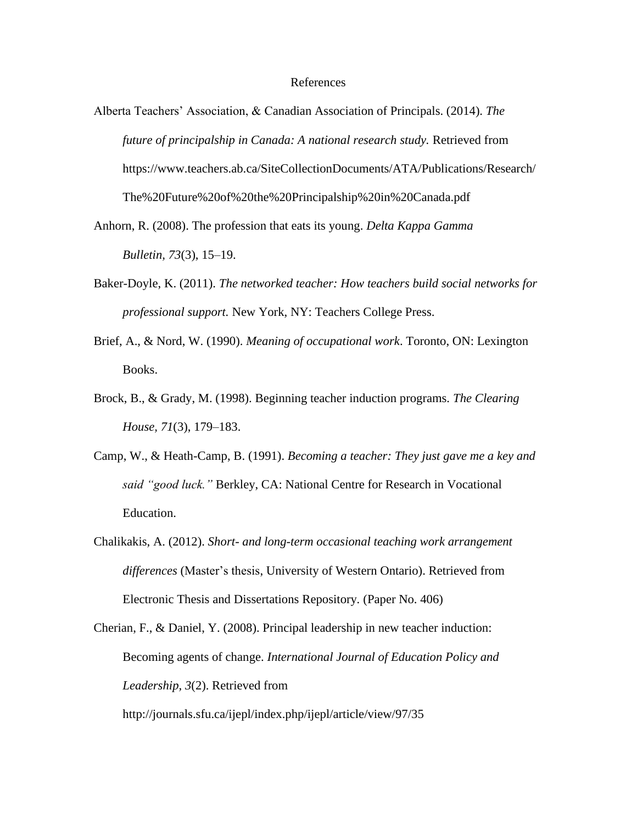#### References

- Alberta Teachers' Association, & Canadian Association of Principals. (2014). *The future of principalship in Canada: A national research study.* Retrieved from https://www.teachers.ab.ca/SiteCollectionDocuments/ATA/Publications/Research/ The%20Future%20of%20the%20Principalship%20in%20Canada.pdf
- Anhorn, R. (2008). The profession that eats its young. *Delta Kappa Gamma Bulletin, 73*(3), 15–19.
- Baker-Doyle, K. (2011). *The networked teacher: How teachers build social networks for professional support.* New York, NY: Teachers College Press.
- Brief, A., & Nord, W. (1990). *Meaning of occupational work*. Toronto, ON: Lexington Books.
- Brock, B., & Grady, M. (1998). Beginning teacher induction programs*. [The Clearing](https://www.researchgate.net/journal/1939-912X_The_Clearing_House)  [House,](https://www.researchgate.net/journal/1939-912X_The_Clearing_House) 71*(3), 179–183.
- Camp, W., & Heath-Camp, B. (1991). *Becoming a teacher: They just gave me a key and said "good luck."* Berkley, CA: National Centre for Research in Vocational Education.
- Chalikakis, A. (2012). *Short- and long-term occasional teaching work arrangement differences* (Master's thesis, University of Western Ontario). Retrieved from Electronic Thesis and Dissertations Repository*.* (Paper No. 406)
- Cherian, F., & Daniel, Y. (2008). Principal leadership in new teacher induction: Becoming agents of change. *International Journal of Education Policy and Leadership, 3*(2). Retrieved from <http://journals.sfu.ca/ijepl/index.php/ijepl/article/view/97/35>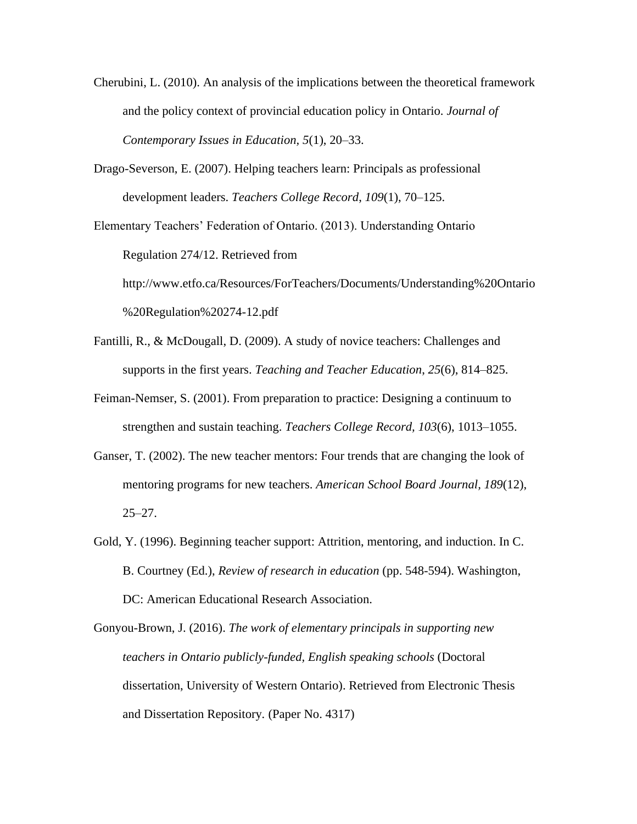- Cherubini, L. (2010). An analysis of the implications between the theoretical framework and the policy context of provincial education policy in Ontario. *Journal of Contemporary Issues in Education, 5*(1), 20–33.
- Drago-Severson, E. (2007). Helping teachers learn: Principals as professional development leaders. *Teachers College Record*, *109*(1), 70–125.

Elementary Teachers' Federation of Ontario. (2013). Understanding Ontario Regulation 274/12. Retrieved from http://www.etfo.ca/Resources/ForTeachers/Documents/Understanding%20Ontario %20Regulation%20274-12.pdf

- Fantilli, R., & McDougall, D. (2009). A study of novice teachers: Challenges and supports in the first years. *Teaching and Teacher Education*, *25*(6), 814–825.
- Feiman-Nemser, S. (2001). From preparation to practice: Designing a continuum to strengthen and sustain teaching. *Teachers College Record, 103*(6), 1013–1055.
- Ganser, T. (2002). The new teacher mentors: Four trends that are changing the look of mentoring programs for new teachers. *American School Board Journal, 189*(12), 25–27.
- Gold, Y. (1996). Beginning teacher support: Attrition, mentoring, and induction. In C. B. Courtney (Ed.), *Review of research in education* (pp. 548-594). Washington, DC: American Educational Research Association.

Gonyou-Brown, J. (2016). *The work of elementary principals in supporting new teachers in Ontario publicly-funded, English speaking schools* (Doctoral dissertation, University of Western Ontario). Retrieved from Electronic Thesis and Dissertation Repository*.* (Paper No. 4317)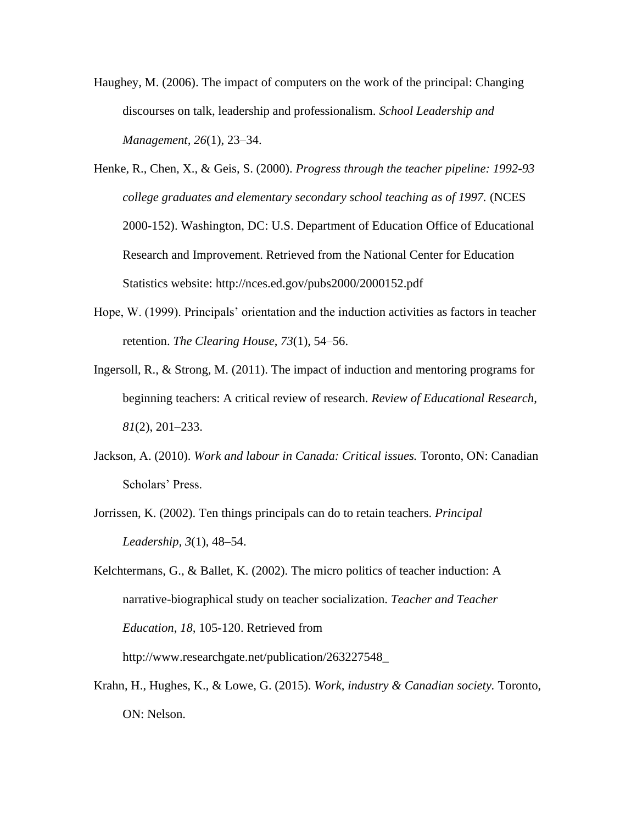- Haughey, M. (2006). The impact of computers on the work of the principal: Changing discourses on talk, leadership and professionalism. *School Leadership and Management, 26*(1), 23–34.
- Henke, R., Chen, X., & Geis, S. (2000). *Progress through the teacher pipeline: 1992-93 college graduates and elementary secondary school teaching as of 1997.* (NCES 2000-152). Washington, DC: U.S. Department of Education Office of Educational Research and Improvement. Retrieved from the National Center for Education Statistics website: [http://nces.ed.gov/pubs2000/2000152.pdf](file:///C:/Users/jennygonyoubrown/Documents/%09http:/nces.ed.gov/pubs2000/2000152.pdf)
- Hope, W. (1999). Principals' orientation and the induction activities as factors in teacher retention. *The Clearing House*, *73*(1), 54–56.
- Ingersoll, R., & Strong, M. (2011). The impact of induction and mentoring programs for beginning teachers: A critical review of research. *Review of Educational Research*, *81*(2), 201–233.
- Jackson, A. (2010). *Work and labour in Canada: Critical issues.* Toronto, ON: Canadian Scholars' Press.
- Jorrissen, K. (2002). Ten things principals can do to retain teachers. *Principal Leadership, 3*(1), 48–54.
- Kelchtermans, G., & Ballet, K. (2002). The micro politics of teacher induction: A narrative-biographical study on teacher socialization. *Teacher and Teacher Education*, *18,* 105-120. Retrieved from

[http://www.researchgate.net/publication/263227548\\_](file:///C:/Users/jennygonyoubrown/Documents/%09http:/www.researchgate.net/publication/263227548_)

Krahn, H., Hughes, K., & Lowe, G. (2015). *Work, industry & Canadian society.* Toronto, ON: Nelson.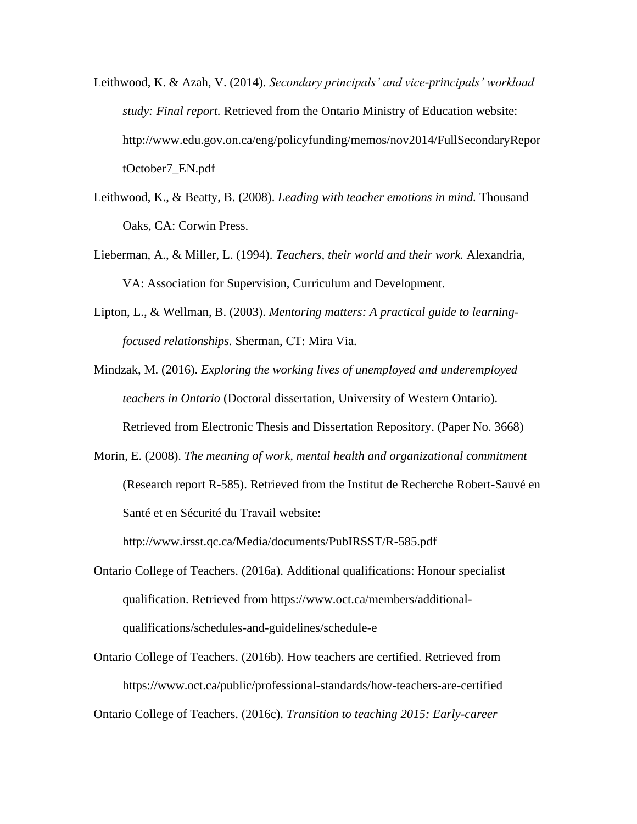- Leithwood, K. & Azah, V. (2014). *Secondary principals' and vice-principals' workload study: Final report.* Retrieved from the Ontario Ministry of Education website: http://www.edu.gov.on.ca/eng/policyfunding/memos/nov2014/FullSecondaryRepor tOctober7\_EN.pdf
- Leithwood, K., & Beatty, B. (2008). *Leading with teacher emotions in mind.* Thousand Oaks, CA: Corwin Press.
- Lieberman, A., & Miller, L. (1994). *Teachers, their world and their work.* Alexandria, VA: Association for Supervision, Curriculum and Development.
- Lipton, L., & Wellman, B. (2003). *Mentoring matters: A practical guide to learningfocused relationships.* Sherman, CT: Mira Via.

Mindzak, M. (2016). *Exploring the working lives of unemployed and underemployed teachers in Ontario* (Doctoral dissertation, University of Western Ontario).

Retrieved from Electronic Thesis and Dissertation Repository. (Paper No. 3668)

Morin, E. (2008). *The meaning of work, mental health and organizational commitment* (Research report R-585). Retrieved from the Institut de Recherche Robert-Sauvé en Santé et en Sécurité du Travail website:

http://www.irsst.qc.ca/Media/documents/PubIRSST/R-585.pdf

- Ontario College of Teachers. (2016a). Additional qualifications: Honour specialist qualification. Retrieved from https://www.oct.ca/members/additionalqualifications/schedules-and-guidelines/schedule-e
- Ontario College of Teachers. (2016b). How teachers are certified. Retrieved from https://www.oct.ca/public/professional-standards/how-teachers-are-certified

Ontario College of Teachers. (2016c). *Transition to teaching 2015: Early-career*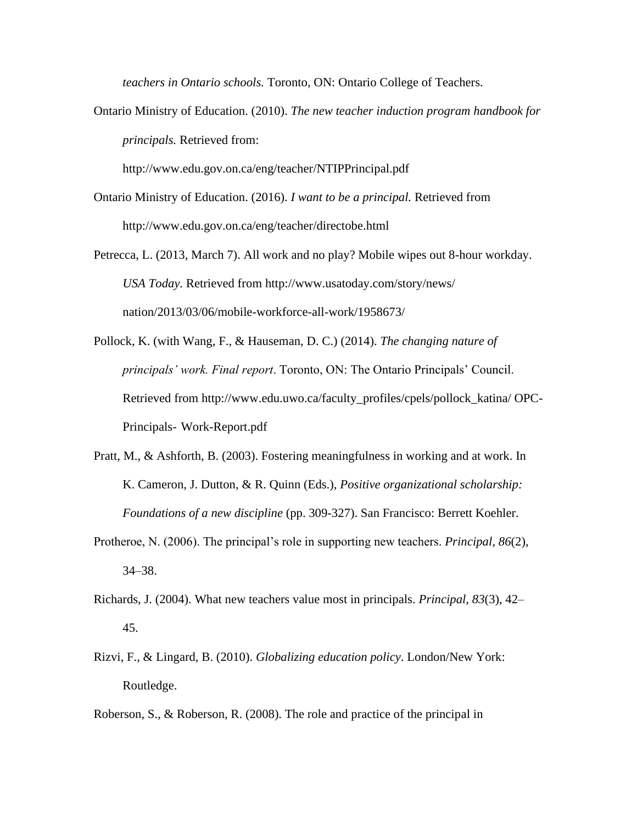*teachers in Ontario schools.* Toronto, ON: Ontario College of Teachers.

Ontario Ministry of Education. (2010). *The new teacher induction program handbook for principals.* Retrieved from:

http://www.edu.gov.on.ca/eng/teacher/NTIPPrincipal.pdf

- Ontario Ministry of Education. (2016). *I want to be a principal.* Retrieved from [http://www.edu.gov.on.ca/eng/teacher/directobe.html](file:///C:/Users/jennygonyoubrown/Documents/%09http:/www.edu.gov.on.ca/eng/teacher/directobe.html)
- Petrecca, L. (2013, March 7). All work and no play? Mobile wipes out 8-hour workday. *USA Today.* Retrieved from<http://www.usatoday.com/story/news/> nation/2013/03/06/mobile-workforce-all-work/1958673/
- Pollock, K. (with Wang, F., & Hauseman, D. C.) (2014). *The changing nature of principals' work. Final report*. Toronto, ON: The Ontario Principals' Council. Retrieved from http://www.edu.uwo.ca/faculty\_profiles/cpels/pollock\_katina/ OPC-Principals- Work-Report.pdf
- Pratt, M., & Ashforth, B. (2003). Fostering meaningfulness in working and at work. In K. Cameron, J. Dutton, & R. Quinn (Eds.), *Positive organizational scholarship: Foundations of a new discipline* (pp. 309-327). San Francisco: Berrett Koehler.
- Protheroe, N. (2006). The principal's role in supporting new teachers. *Principal*, *86*(2), 34–38.
- Richards, J. (2004). What new teachers value most in principals. *Principal, 83*(3), 42– 45.
- Rizvi, F., & Lingard, B. (2010). *Globalizing education policy*. London/New York: Routledge.
- Roberson, S., & Roberson, R. (2008). The role and practice of the principal in